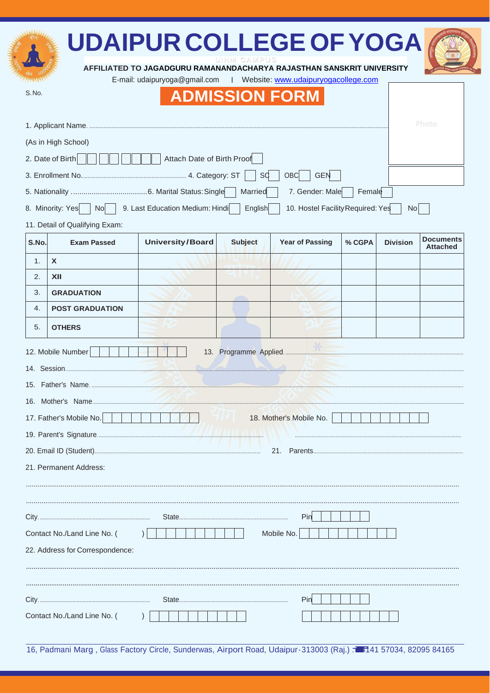|                                                                                                                                        |                                      | <b>UDAIPUR COLLEGE OF YOGA</b>                                        |                |                        |        |                 |                                     |  |  |
|----------------------------------------------------------------------------------------------------------------------------------------|--------------------------------------|-----------------------------------------------------------------------|----------------|------------------------|--------|-----------------|-------------------------------------|--|--|
|                                                                                                                                        |                                      | AFFILIATED TO JAGADGURU RAMANANDACHARYA RAJASTHAN SANSKRIT UNIVERSITY | UIHM CAMPUS    |                        |        |                 |                                     |  |  |
| E-mail: udaipuryoga@gmail.com<br>  Website: www.udaipuryogacollege.com                                                                 |                                      |                                                                       |                |                        |        |                 |                                     |  |  |
| S.No.<br><b>ADMISSION FORM</b>                                                                                                         |                                      |                                                                       |                |                        |        |                 |                                     |  |  |
|                                                                                                                                        | Photo                                |                                                                       |                |                        |        |                 |                                     |  |  |
| (As in High School)                                                                                                                    |                                      |                                                                       |                |                        |        |                 |                                     |  |  |
| 2. Date of Birth<br>Attach Date of Birth Proof                                                                                         |                                      |                                                                       |                |                        |        |                 |                                     |  |  |
| <b>SC</b><br><b>OBC</b><br><b>GEN</b>                                                                                                  |                                      |                                                                       |                |                        |        |                 |                                     |  |  |
|                                                                                                                                        | 7. Gender: Male<br>Married<br>Female |                                                                       |                |                        |        |                 |                                     |  |  |
| 9. Last Education Medium: Hindi<br>10. Hostel Facility Required: Yes<br>8. Minority: Yes<br>$\mathsf{No}$<br>English<br>N <sub>o</sub> |                                      |                                                                       |                |                        |        |                 |                                     |  |  |
| 11. Detail of Qualifying Exam:                                                                                                         |                                      |                                                                       |                |                        |        |                 |                                     |  |  |
| S.No.                                                                                                                                  | <b>Exam Passed</b>                   | <b>University/Board</b>                                               | <b>Subject</b> | <b>Year of Passing</b> | % CGPA | <b>Division</b> | <b>Documents</b><br><b>Attached</b> |  |  |
| 1.                                                                                                                                     | X                                    |                                                                       |                |                        |        |                 |                                     |  |  |
| 2.                                                                                                                                     | XII                                  |                                                                       |                |                        |        |                 |                                     |  |  |
| 3.                                                                                                                                     | <b>GRADUATION</b>                    |                                                                       |                |                        |        |                 |                                     |  |  |
| 4.                                                                                                                                     | <b>POST GRADUATION</b>               |                                                                       |                |                        |        |                 |                                     |  |  |
| 5.                                                                                                                                     | <b>OTHERS</b>                        |                                                                       |                |                        |        |                 |                                     |  |  |
| 12. Mobile Number                                                                                                                      |                                      |                                                                       |                |                        |        |                 |                                     |  |  |
|                                                                                                                                        |                                      |                                                                       |                |                        |        |                 |                                     |  |  |
|                                                                                                                                        |                                      |                                                                       |                |                        |        |                 |                                     |  |  |
|                                                                                                                                        |                                      |                                                                       |                |                        |        |                 |                                     |  |  |
| 17. Father's Mobile No.<br>18. Mother's Mobile No.                                                                                     |                                      |                                                                       |                |                        |        |                 |                                     |  |  |
|                                                                                                                                        |                                      |                                                                       |                |                        |        |                 |                                     |  |  |
|                                                                                                                                        |                                      |                                                                       |                |                        |        |                 |                                     |  |  |
| 21. Permanent Address:                                                                                                                 |                                      |                                                                       |                |                        |        |                 |                                     |  |  |
|                                                                                                                                        |                                      |                                                                       |                |                        |        |                 |                                     |  |  |
|                                                                                                                                        |                                      |                                                                       |                |                        |        |                 |                                     |  |  |
| Pin                                                                                                                                    |                                      |                                                                       |                |                        |        |                 |                                     |  |  |
| Mobile No.<br>Contact No./Land Line No. (                                                                                              |                                      |                                                                       |                |                        |        |                 |                                     |  |  |
| 22. Address for Correspondence:                                                                                                        |                                      |                                                                       |                |                        |        |                 |                                     |  |  |
|                                                                                                                                        |                                      |                                                                       |                |                        |        |                 |                                     |  |  |
|                                                                                                                                        |                                      |                                                                       |                |                        |        |                 |                                     |  |  |
|                                                                                                                                        | Pin                                  |                                                                       |                |                        |        |                 |                                     |  |  |
|                                                                                                                                        | Contact No./Land Line No. (          |                                                                       |                |                        |        |                 |                                     |  |  |

subblisher

16, Padmani Marg, Glass Factory Circle, Sunderwas, Airport Road, Udaipur-313003 (Raj.) 7 7141 57034, 82095 84165